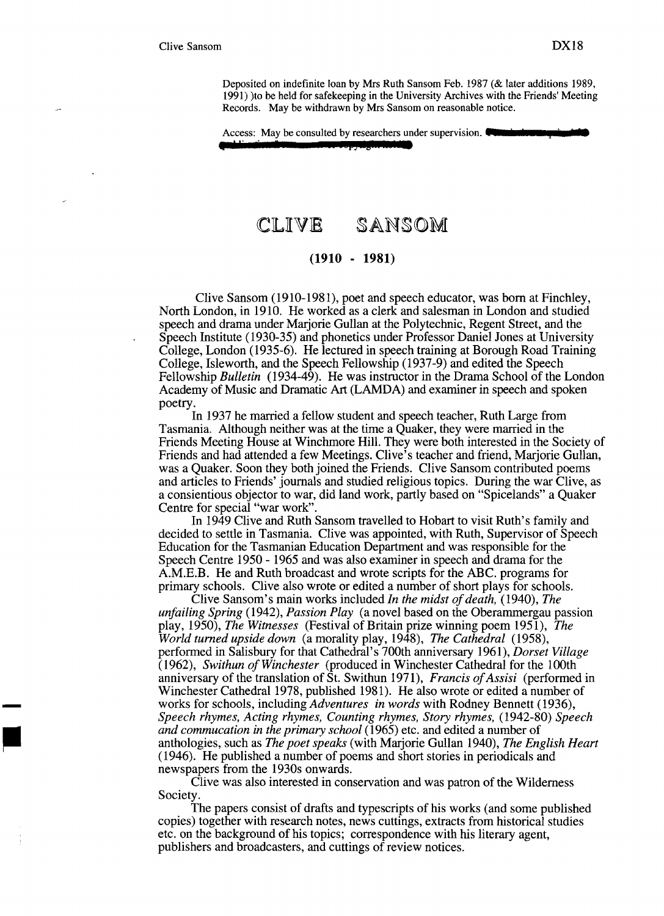**•n ......,••** 

Deposited on indefinite loan by Mrs Ruth Sansom Feb. 1987 (& later additions 1989, 1991) )to be held for safekeeping in the University Archives with the Friends' Meeting Records. May be withdrawn by Mrs Sansom on reasonable notice.

Access: May be consulted by researchers under supervision.

( I,. **tJ 'lM) ) Ida** 

# CLIVE SANSOM

## **(1910 - 1981)**

Clive Sansom (1910-1981), poet and speech educator, was born at Finchley, North London, in 1910. He worked as a clerk and salesman in London and studied speech and drama under Marjorie Gullan at the Polytechnic, Regent Street, and the Speech Institute (1930-35) and phonetics under Professor Daniel Jones at University College, London (1935-6). He lectured in speech training at Borough Road Training College, Isleworth, and the Speech Fellowship (1937-9) and edited the Speech Fellowship *Bulletin* (1934-49). He was instructor in the Drama School of the London Academy of Music and Dramatic Art (LAMDA) and examiner in speech and spoken poetry.

In 1937 he married a fellow student and speech teacher, Ruth Large from Tasmania. Although neither was at the time a Quaker, they were married in the Friends Meeting House at Winchmore Hill. They were both interested in the Society of Friends and had attended a few Meetings. Clive's teacher and friend, Marjorie Gullan, was a Quaker. Soon they both joined the Friends. Clive Sansom contributed poems and articles to Friends' journals and studied religious topics. During the war Clive, as a consientious objector to war, did land work, partly based on "Spicelands" a Quaker Centre for special "war work".

In 1949 Clive and Ruth Sansom travelled to Hobart to visit Ruth's family and decided to settle in Tasmania. Clive was appointed, with Ruth, Supervisor of Speech Education for the Tasmanian Education Department and was responsible for the Speech Centre 1950 - 1965 and was also examiner in speech and drama for the A.M.E.B. He and Ruth broadcast and wrote scripts for the ABC. programs for primary schools. Clive also wrote or edited a number of short plays for schools.

Clive Sansom's main works included *In the midst of death*, (1940), *The unfailing Spring* (1942), *Passion Play* (a novel based on the Oberammergau passion play, 1950), *The Witnesses* (Festival of Britain prize winning poem 1951), *The World turned upside down* (a morality play, 1948), *The Cathedral (1958),*  performed in Salisbury for that Cathedral's 700th anniversary 1961), *Dorset Village (1962), Swithun ofWinchester* (produced in Winchester Cathedral for the 100th anniversary of the translation of St. Swithun 1971), *Francis ofAssisi* (performed in Winchester Cathedral 1978, published 1981). He also wrote or edited a number of works for schools, including *Adventures in words* with Rodney Bennett (1936), *Speech rhymes, Acting rhymes, Counting rhymes, Story rhymes,* (1942-80) *Speech and commucation in the primary school* (1965) etc. and edited a number of anthologies, such as *The poet speaks* (with Marjorie Gullan 1940), *The English Heart*  (1946). He published a number of poems and short stories in periodicals and newspapers from the 1930s onwards.

Clive was also interested in conservation and was patron of the Wilderness Society.

The papers consist of drafts and typescripts of his works (and some published copies) together with research notes, news cuttings, extracts from historical studies etc. on the background of his topics; correspondence with his literary agent, publishers and broadcasters, and cuttings of review notices.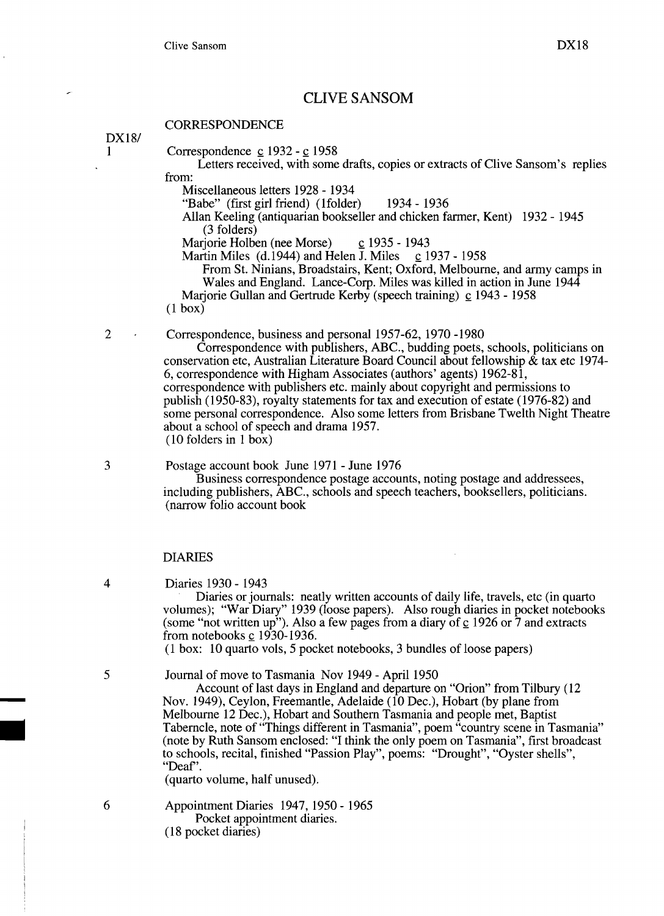## **CLIVE SANSOM**

#### **CORRESPONDENCE**

*DX181* 

- $1$  Correspondence c 1932 c 1958
	- Letters received, with some drafts, copies or extracts of Clive Sansom's replies from:
		- Miscellaneous letters 1928 1934
		- "Babe" (first girl friend) (lfolder) 1934 1936
		- Allan Keeling (antiquarian bookseller and chicken farmer, Kent) 1932 1945 (3 folders)
		-
		- Marjorie Holben (nee Morse)  $\frac{c}{2}$  1935 1943<br>Martin Miles (d.1944) and Helen J. Miles  $\frac{c}{2}$  1937 1958 Martin Miles (d. 1944) and Helen J. Miles
			- From St. Ninians, Broadstairs, Kent; Oxford, Melbourne, and army camps in Wales and England. Lance-Corp. Miles was killed in action in June 1944
		- Marjorie Gullan and Gertrude Kerby (speech training)  $\text{\ensuremath{\mathsf{c}}}$  1943 1958

(1 box)

2 Correspondence, business and personal 1957-62, 1970 -1980

Correspondence with publishers, ABC., budding poets, schools, politicians on conservation etc, Australian Literature Board Council about fellowship  $\&$  tax etc 1974-6, correspondence with Higham Associates (authors' agents) 1962-81, correspondence with publishers etc. mainly about copyright and permissions to publish (1950-83), royalty statements for tax and execution of estate (1976-82) and some personal correspondence. Also some letters from Brisbane Twelth Night Theatre about a school of speech and drama 1957. (10 folders in 1 box)

3 Postage account book June 1971 - June 1976

Business correspondence postage accounts, noting postage and addressees, including publishers, ABC., schools and speech teachers, booksellers, politicians. (narrow folio account book

#### DIARIES

4 Diaries 1930 - 1943

Diaries or journals: neatly written accounts of daily life, travels, etc (in quarto volumes); "War Diary" 1939 (loose papers). Also rough diaries in pocket notebooks (some "not written up"). Also a few pages from a diary of  $\frac{c}{2}$  1926 or 7 and extracts from notebooks  $\mathbf{c}$  1930-1936.

(1 box: 10 quarto vols, 5 pocket notebooks, 3 bundles of loose papers)

5 Journal of move to Tasmania Nov 1949 - April 1950

Account of last days in England and departure on "Orion" from Tilbury (12 Nov. 1949), Ceylon, Freemantle, Adelaide (10 Dec.), Hobart (by plane from Melbourne 12 Dec.), Hobart and Southern Tasmania and people met, Baptist Taberncle, note of "Things different in Tasmania", poem "country scene in Tasmania" (note by Ruth Sansom enclosed: "I think the only poem on Tasmania", first broadcast to schools, recital, finished "Passion Play", poems: "Drought", "Oyster shells", "Deaf'.

(quarto volume, half unused).

6 Appointment Diaries 1947, 1950 - 1965 Pocket appointment diaries. (18 pocket diaries)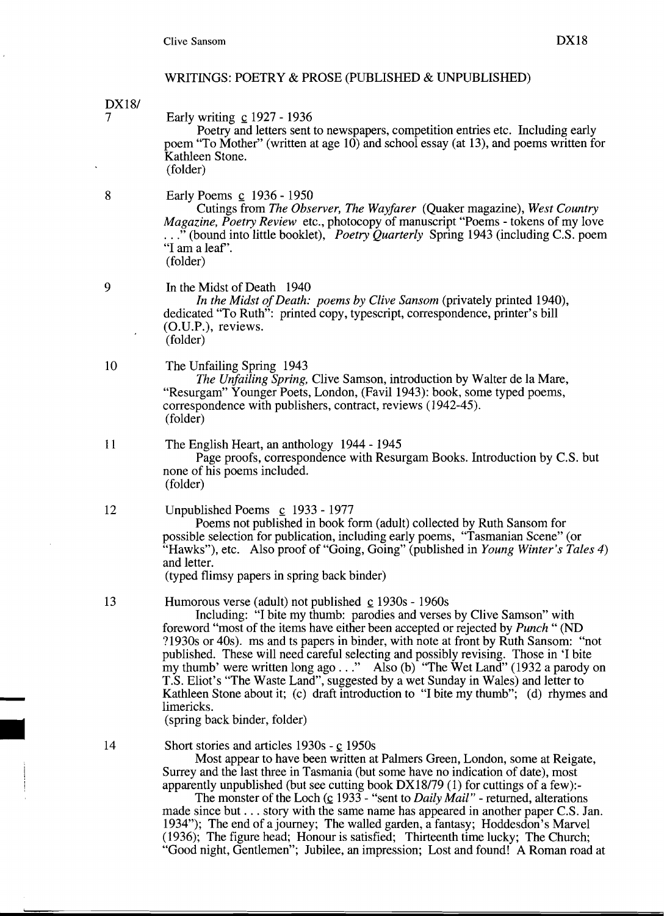*DX181*  7 Early writing  $\text{c}$  1927 - 1936

Poetry and letters sent to newspapers, competition entries etc. Including early poem "To Mother" (written at age 10) and school essay (at 13), and poems written for Kathleen Stone. (folder)

8 Early Poems c 1936 - 1950

Cutings from *The Observer, The Wayfarer* (Quaker magazine), *West Country Magazine, Poetry Review* etc., photocopy of manuscript "Poems - tokens of my love ..." (bound into little booklet), *Poetry Quarterly* Spring 1943 (including C.S. poem "I am a leaf'. (folder)

In the Midst of Death 1940

9

14

*In the Midst ofDeath: poems by Clive Sansom* (privately printed 1940), dedicated "To Ruth": printed copy, typescript, correspondence, printer's bill (O.U.P.), reviews. (folder)

10 The Unfailing Spring 1943

*The Unfailing Spring,* Clive Samson, introduction by Walter de la Mare, "Resurgam" Younger Poets, London, (Favil 1943): book, some typed poems, correspondence with publishers, contract, reviews (1942-45). (folder)

11 The English Heart, an anthology 1944 - 1945

Page proofs, correspondence with Resurgam Books. Introduction by C.S. but none of his poems included. (folder)

12 Unpublished Poems  $\mathbf{c}$  1933 - 1977

Poems not published in book form (adult) collected by Ruth Sansom for possible selection for publication, including early poems, "Tasmanian Scene" (or "Hawks"), etc. Also proof of "Going, Going" (published in *Young Winter's Tales 4)*  and letter.

(typed flimsy papers in spring back binder)

13 Humorous verse (adult) not published  $\frac{c}{2}$  1930s - 1960s

Including: "I bite my thumb: parodies and verses by Clive Samson" with foreword "most of the items have either been accepted or rejected by *Punch"* (ND ?1930s or 40s). ms and ts papers in binder, with note at front by Ruth Sansom: "not published. These will need careful selecting and possibly revising. Those in 'I bite my thumb' were written long ago ..." Also (b) "The Wet Land" (1932 a parody on T.S. Eliot's "The Waste Land", suggested by a wet Sunday in Wales) and letter to Kathleen Stone about it; (c) draft introduction to "I bite my thumb"; (d) rhymes and limericks.

(spring back binder, folder)

Short stories and articles  $1930s - c$  1950s

Most appear to have been written at Palmers Green, London, some at Reigate, Surrey and the last three in Tasmania (but some have no indication of date), most apparently unpublished (but see cutting book DX18/79 (1) for cuttings of a few):-

The monster of the Loch ( $\circ$  1933 - "sent to *Daily Mail"* - returned, alterations made since but ... story with the same name has appeared in another paper C.S. Jan. 1934"); The end of a journey; The walled garden, a fantasy; Hoddesdon's Marvel (1936); The figure head; Honour is satisfied; Thirteenth time lucky; The Church; "Good night, Gentlemen"; Jubilee, an impression; Lost and found! A Roman road at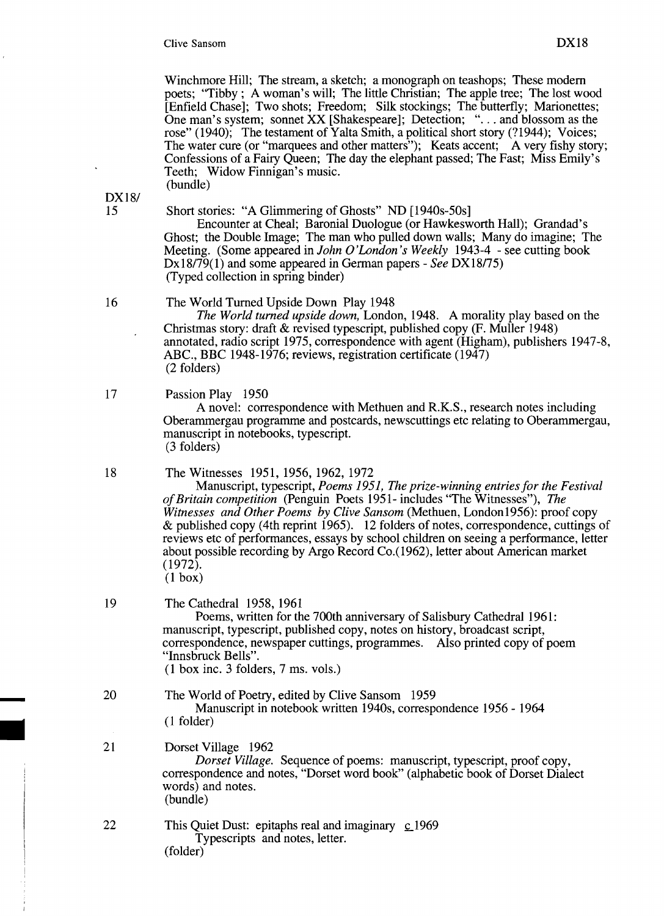Winchmore Hill; The stream, a sketch; a monograph on teashops; These modem poets; "Tibby; A woman's will; The little Christian; The apple tree; The lost wood [Enfield Chase]; Two shots; Freedom; Silk stockings; The butterfly; Marionettes; One man's system; sonnet XX [Shakespeare]; Detection; "... and blossom as the rose" (1940); The testament of Yalta Smith, a political short story (?1944); Voices; The water cure (or "marquees and other matters"); Keats accent; A very fishy story; Confessions of a Fairy Queen; The day the elephant passed; The Fast; Miss Emily's Teeth; Widow Finnigan's music. (bundle)

**DX18/**<br>15

#### 15 Short stories: "A Glimmering of Ghosts" ND [1940s-50s]

Encounter at Cheal; Baronial Duologue (or Hawkesworth Hall); Grandad's Ghost; the Double Image; The man who pulled down walls; Many do imagine; The Meeting. (Some appeared in *John* o*'London 's Weekly* 1943-4 - see cutting book DxI8179(1) and some appeared in German papers - *See* DX18175) (Typed collection in spring binder)

#### 16 The World Turned Upside Down Play 1948

*The World turned upside down,* London, 1948. A morality play based on the Christmas story: draft & revised typescript, published copy (F. Muller 1948) annotated, radio script 1975, correspondence with agent (Higham), publishers 1947-8, ABC., BBC 1948-1976; reviews, registration certificate (1947) (2 folders)

#### 17 Passion Play 1950

A novel: correspondence with Methuen and R.K.S., research notes including Oberammergau programme and postcards, newscuttings etc relating to Oberammergau, manuscript in notebooks, typescript. (3 folders)

#### 18 The Witnesses 1951, 1956, 1962, 1972

Manuscript, typescript, *Poems* 1951, *The prize-winning entries for the Festival ofBritain competition* (Penguin Poets 1951- includes "The Witnesses"), *The Witnesses and Other Poems by Clive Sansom* (Methuen, LondonI956): proof copy & published copy (4th reprint 1965). 12 folders of notes, correspondence, cuttings of reviews etc of performances, essays by school children on seeing a performance, letter about possible recording by Argo Record Co.(1962), letter about American market (1972).

(1 box)

# 19 The Cathedral 1958, 1961

Poems, written for the 700th anniversary of Salisbury Cathedral 1961: manuscript, typescript, published copy, notes on history, broadcast script, correspondence, newspaper cuttings, programmes. Also printed copy of poem "Innsbruck Bells".

(1 box inc. 3 folders, 7 ms. vols.)

## The World of Poetry, edited by Clive Sansom 1959

Manuscript in notebook written 1940s, correspondence 1956 - 1964 (1 folder)

#### 21 Dorset Village 1962

20

*Dorset Village.* Sequence of poems: manuscript, typescript, proof copy, correspondence and notes, "Dorset word book" (alphabetic book of Dorset Dialect words) and notes. (bundle)

22 This Quiet Dust: epitaphs real and imaginary  $\mathcal{L}$  1969 Typescripts and notes, letter. (folder)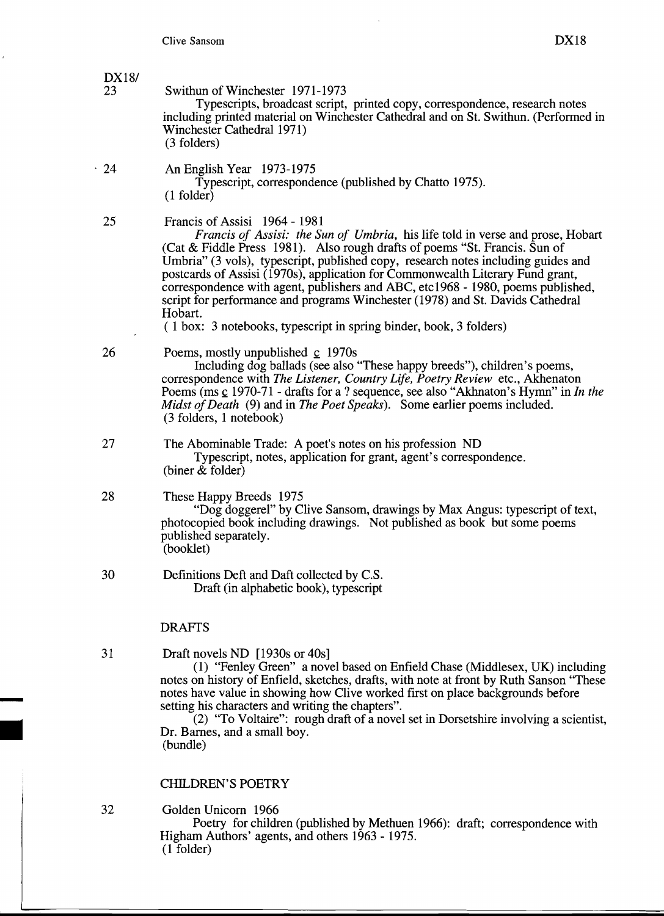# *DX181*

Swithun of Winchester 1971-1973

Typescripts, broadcast script, printed copy, correspondence, research notes including printed material on Winchester Cathedral and on St. Swithun. (Performed in Winchester Cathedral 1971) (3 folders)

·24 An English Year 1973-1975 Typescript, correspondence (published by Chatto 1975). (1 folder)

25 Francis of Assisi 1964 - 1981

*Francis of Assisi: the Sun of Umbria,* his life told in verse and prose, Hobart (Cat & Fiddle Press 1981). Also rough drafts of poems "St. Francis. Sun of Umbria" (3 vols), typescript, published copy, research notes including guides and postcards of Assisi (1970s), application for Commonwealth Literary Fund grant, correspondence with agent, publishers and ABC, etc1968 - 1980, poems published, script for performance and programs Winchester (1978) and St. Davids Cathedral Hobart.

( 1 box: 3 notebooks, typescript in spring binder, book, 3 folders)

#### 26 Poems, mostly unpublished c 1970s

Including dog ballads (see also "These happy breeds"), children's poems, correspondence with *The Listener, Country Life, Poetry Review* etc., Akhenaton Poems (ms c 1970-71 - drafts for a ? sequence, see also "Akhnaton's Hymn" in *In the Midst of Death* (9) and in *The Poet Speaks*). Some earlier poems included. (3 folders, 1 notebook)

- 27 The Abominable Trade: A poet's notes on his profession ND Typescript, notes, application for grant, agent's correspondence. (biner & folder)
- 28 These Happy Breeds 1975

"Dog doggerel" by Clive Sansom, drawings by Max Angus: typescript of text, photocopied book including drawings. Not published as book but some poems published separately. (booklet)

30 Definitions Deft and Daft collected by C.S. Draft (in alphabetic book), typescript

#### DRAFTS

31 Draft novels ND [1930s or 40s]

(1) "Fenley Green" a novel based on Enfield Chase (Middlesex, UK) including notes on history of Enfield, sketches, drafts, with note at front by Ruth Sanson "These notes have value in showing how Clive worked first on place backgrounds before setting his characters and writing the chapters".

 $(2)$  "To Voltaire": rough draft of a novel set in Dorsetshire involving a scientist, Dr. Barnes, and a small boy. (bundle)

#### CHILDREN'S POETRY

32 Golden Unicorn 1966

Poetry for children (published by Methuen 1966): draft; correspondence with Higham Authors' agents, and others 1963 - 1975. (1 folder)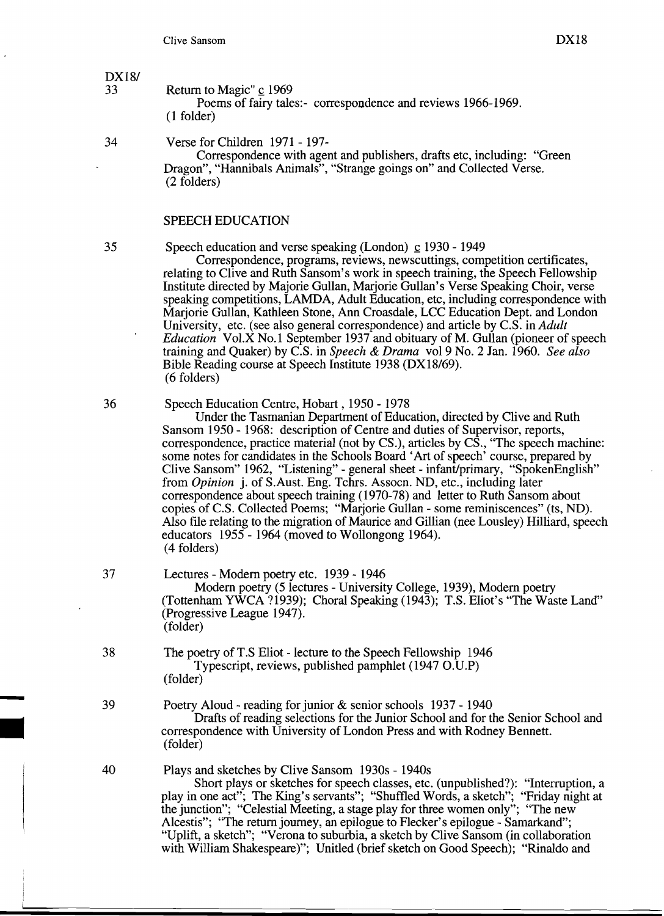DX18/<br>33

Return to Magic" c 1969 Poems of fairy tales:- correspondence and reviews 1966-1969.

(1 folder)

34 Verse for Children 1971 - 197

Correspondence with agent and publishers, drafts etc, including: "Green Dragon", "Hannibals Animals", "Strange goings on" and Collected Verse. (2 folders)

#### SPEECH EDUCATION

35 Speech education and verse speaking (London)  $\mathbf{c}$  1930 - 1949

Correspondence, programs, reviews, newscuttings, competition certificates, relating to Clive and Ruth Sansom's work in speech training, the Speech Fellowship Institute directed by Majorie Gullan, Marjorie Gullan's Verse Speaking Choir, verse speaking competitions, LAMDA, Adult Education, etc, including correspondence with Marjorie Gullan, Kathleen Stone, Ann Croasdale, LCC Education Dept. and London University, etc. (see also general correspondence) and article by C.S. in *Adult Education* Vol.X No.1 September 1937 and obituary of M. Gullan (pioneer of speech) training and Quaker) by C.S. in *Speech* & *Drama* vol 9 No.2 Jan. 1960. *See also*  Bible Reading course at Speech Institute 1938 (DXI8/69). (6 folders)

36 Speech Education Centre, Hobart, 1950 - 1978

Under the Tasmanian Department of Education, directed by Clive and Ruth Sansom 1950 - 1968: description of Centre and duties of Supervisor, reports, correspondence, practice material (not by CS.), articles by CS., "The speech machine: some notes for candidates in the Schools Board 'Art of speech' course, prepared by Clive Sansom" 1962, "Listening" - general sheet - infant/primary, "SpokenEnglish" from *Opinion* j. of S.Aust. Eng. Tchrs. Assocn. ND, etc., including later correspondence about speech training (1970-78) and letter to Ruth Sansom about copies of C.S. Collected Poems; "Marjorie Gullan - some reminiscences" (ts, ND). Also file relating to the migration of Maurice and Gillian (nee Lousley) Hilliard, speech educators 1955 - 1964 (moved to Wollongong 1964). (4 folders)

- 37 Lectures Modem poetry etc. 1939 1946 Modem poetry (5 lectures - University College, 1939), Modem poetry (Tottenham YWCA 71939); Choral Speaking (1943); T.S. Eliot's "The Waste Land" (Progressive League 1947). (folder)
- 38 The poetry of T.S Eliot lecture to the Speech Fellowship 1946 Typescript, reviews, published pamphlet (1947 O.U.P) (folder)
- 39 Poetry Aloud reading for junior & senior schools 1937 1940 Drafts of reading selections for the Junior School and for the Senior School and correspondence with University of London Press and with Rodney Bennett.<br>
(folder)<br>
Plays and sketches by Clive Sansom 1930s - 1940s 39 Poetry.<br>
D<br>
correspo<br>
(folder)<br>
40 Plays at
	- 40 Plays and sketches by Clive Sansom 1930s 1940s Short plays or sketches for speech classes, etc. (unpublished?): "Interruption, a

play in one act"; The King's servants"; "Shuffled Words, a sketch"; "Friday night at the junction"; "Celestial Meeting, a stage play for three women only"; "The new Alcestis"; "The return journey, an epilogue to Flecker's epilogue - Samarkand"; "Uplift, a sketch"; "Verona to suburbia, a sketch by Clive Sansom (in collaboration with William Shakespeare)"; Unitled (brief sketch on Good Speech); "Rinaldo and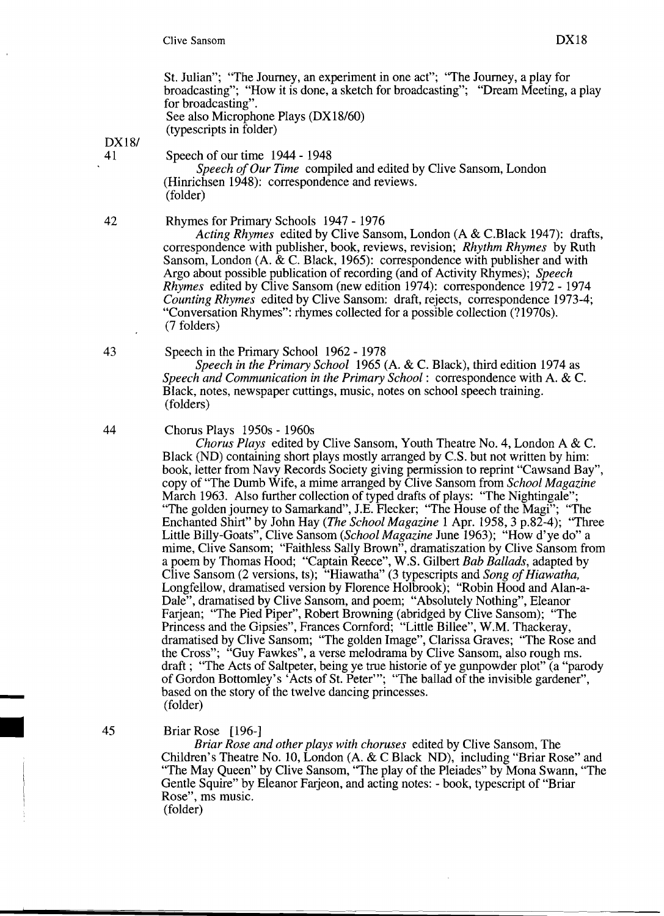St. Julian"; "The Journey, an experiment in one act"; "The Journey, a play for broadcasting"; "How it is done, a sketch for broadcasting"; "Dream Meeting, a play for broadcasting". See also Microphone Plays (DX18/60) (typescripts in folder)

DX18/<br>41

Speech of our time 1944 - 1948

*Speech of Our Time* compiled and edited by Clive Sansom, London (Hinrichsen 1948): correspondence and reviews. (folder)

42 Rhymes for Primary Schools 1947 - 1976

*Acting Rhymes* edited by Clive Sansom, London (A & C.Black 1947): drafts, correspondence with publisher, book, reviews, revision; *Rhythm Rhymes* by Ruth Sansom, London (A. & C. Black, 1965): correspondence with publisher and with Argo about possible publication of recording (and of Activity Rhymes); *Speech Rhymes* edited by Clive Sansom (new edition 1974): correspondence 1972 - 1974 *Counting Rhymes* edited by Clive Sansom: draft, rejects, correspondence 1973-4; "Conversation Rhymes": rhymes collected for a possible collection (71970s). (7 folders)

43 Speech in the Primary School 1962 - 1978

*Speech in the Primary School* 1965 (A. & C. Black), third edition 1974 as *Speech and Communication in the Primary School:* correspondence with A. & C. Black, notes, newspaper cuttings, music, notes on school speech training. (folders)

44 Chorus Plays 1950s - 1960s

*Chorus Plays* edited by Clive Sansom, Youth Theatre No.4, London A & C. Black (ND) containing short plays mostly arranged by C.S. but not written by him: book, letter from Navy Records Society giving permission to reprint "Cawsand Bay", copy of "The Dumb Wife, a mime arranged by Clive Sansom from *School Magazine*  March 1963. Also further collection of typed drafts of plays: "The Nightingale"; "The golden journey to Samarkand", lE. Flecker; "The House of the Magi"; "The Enchanted Shirt" by John Hay *(The School Magazine* 1 Apr. 1958,3 p.82-4); "Three Little Billy-Goats", Clive Sansom *(School Magazine* June 1963); "How d'ye do" a mime, Clive Sansom; "Faithless Sally Brown", dramatiszation by Clive Sansom from a poem by Thomas Hood; "Captain Reece", W.S. Gilbert *Bah Ballads,* adapted by Clive Sansom (2 versions, ts); "Hiawatha" (3 typescripts and *Song of Hiawatha*, Longfellow, dramatised version by Florence Holbrook); "Robin Hood and Alan-a-Dale", dramatised by Clive Sansom, and poem; "Absolutely Nothing", Eleanor Farjean; "The Pied Piper", Robert Browning (abridged by Clive Sansom); "The Princess and the Gipsies", Frances Cornford; "Little Billee", W.M. Thackeray, dramatised by Clive Sansom; "The golden Image", Clarissa Graves; "The Rose and the Cross"; "Guy Fawkes", a verse melodrama by Clive Sansom, also rough ms. draft; "The Acts of Saltpeter, being ye true historie of ye gunpowder plot" (a "parody of Gordon Bottomley's 'Acts of St. Peter'"; "The ballad of the invisible gardener", based on the story of the twelve dancing princesses.<br>(folder)

#### 45 Briar Rose [196-]

*Briar Rose and other plays with choruses* edited by Clive Sansom, The Children's Theatre No. 10, London (A. & C Black ND), including "Briar Rose" and "The May Queen" by Clive Sansom, "The play of the Pleiades" by Mona Swann, "The Gentle Squire" by Eleanor Farjeon, and acting notes: - book, typescript of "Briar Rose", ms music. (folder)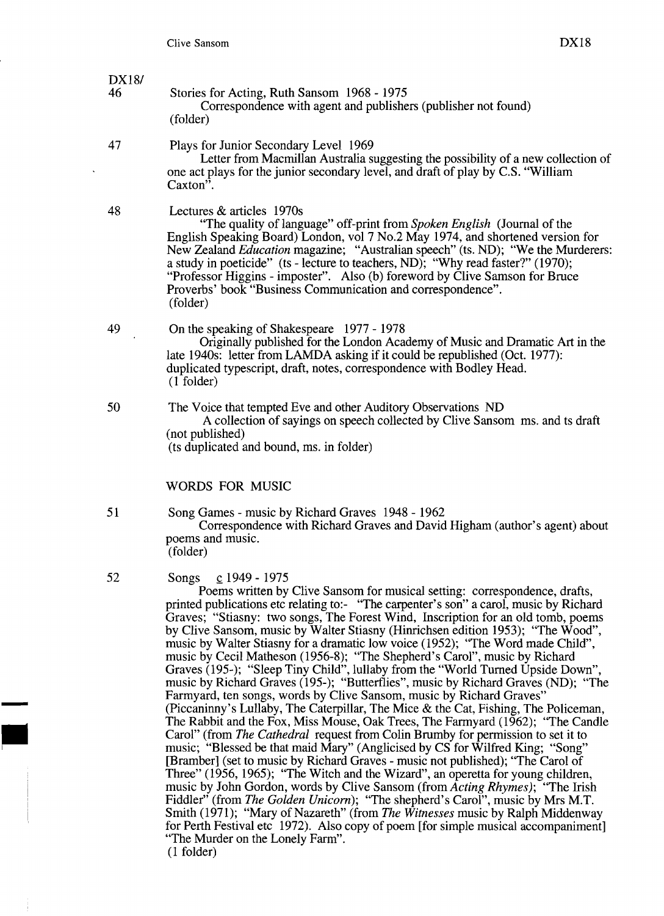#### *DX181*  46 Stories for Acting, Ruth Sansom 1968 - 1975 Correspondence with agent and publishers (publisher not found) (folder)

- 47 Plays for Junior Secondary Level 1969 Letter from Macmillan Australia suggesting the possibility of a new collection of one act plays for the junior secondary level, and draft of play by C.S. "William Caxton<sup>3</sup>.
- 48 Lectures & articles 1970s

"The quality of language" off-print from *Spoken English* (Journal of the English Speaking Board) London, vol 7 No.2 May 1974, and shortened version for New Zealand *Education* magazine; "Australian speech" (ts. ND); "We the Murderers: a study in poeticide" (ts - lecture to teachers, ND); "Why read faster?" (1970); "Professor Higgins - imposter". Also (b) foreword by Clive Samson for Bruce Proverbs' book "Business Communication and correspondence". (folder)

- 49 On the speaking of Shakespeare 1977 1978 Originally published for the London Academy of Music and Dramatic Art in the late 1940s: letter from LAMDA asking if it could be republished (Oct. 1977): duplicated typescript, draft, notes, correspondence with Bodley Head. (1 folder)
- 50 The Voice that tempted Eve and other Auditory Observations ND A collection of sayings on speech collected by Clive Sansom ms. and ts draft (not published) (ts duplicated and bound, ms. in folder)

#### WORDS FOR MUSIC

51 Song Games - music by Richard Graves 1948 - 1962 Correspondence with Richard Graves and David Higham (author's agent) about poems and music. (folder)

#### 52 Songs <u>c</u> 1949 - 1975

Poems written by Clive Sansom for musical setting: correspondence, drafts, printed publications etc relating to:- "The carpenter's son" a carol, music by Richard Graves; "Stiasny: two songs, The Forest Wind, Inscription for an old tomb, poems by Clive Sansom, music by Walter Stiasny (Hinrichsen edition 1953); "The Wood", music by Walter Stiasny for a dramatic low voice (1952); "The Word made Child", music by Cecil Matheson (1956-8); "The Shepherd's Carol", music by Richard Graves (195-); "Sleep Tiny Child", lullaby from the "World Turned Upside Down", music by Richard Graves (195-); "Butterflies", music by Richard Graves (ND); "The Farmyard, ten songs, words by Clive Sansom, music by Richard Graves" - (Piccaninny's Lullaby, The Caterpillar, The Mice & the Cat, Fishing, The Policeman, The Rabbit and the Fox, Miss Mouse, Oak Trees, The Farmyard (1962); "The Candle Carol" (from *The Cathedral* request from Colin Brumby for permission to set it to music; "Blessed be that maid Mary" (Anglicised by CS for Wilfred King; "Song" [Bramber] (set to music by Richard Graves - music not published); "The Carol of Three" (1956, 1965); "The Witch and the Wizard", an operetta for young children, music by John Gordon, words by Clive Sansom (from *Acting Rhymes);* "The Irish Fiddler" (from *The Golden Unicorn*); "The shepherd's Carol", music by Mrs M.T. Smith (1971); "Mary of Nazareth" (from *The Witnesses* music by Ralph Middenway for Perth Festival etc 1972). Also copy of poem [for simple musical accompaniment] "The Murder on the Lonely Farm". (1 folder)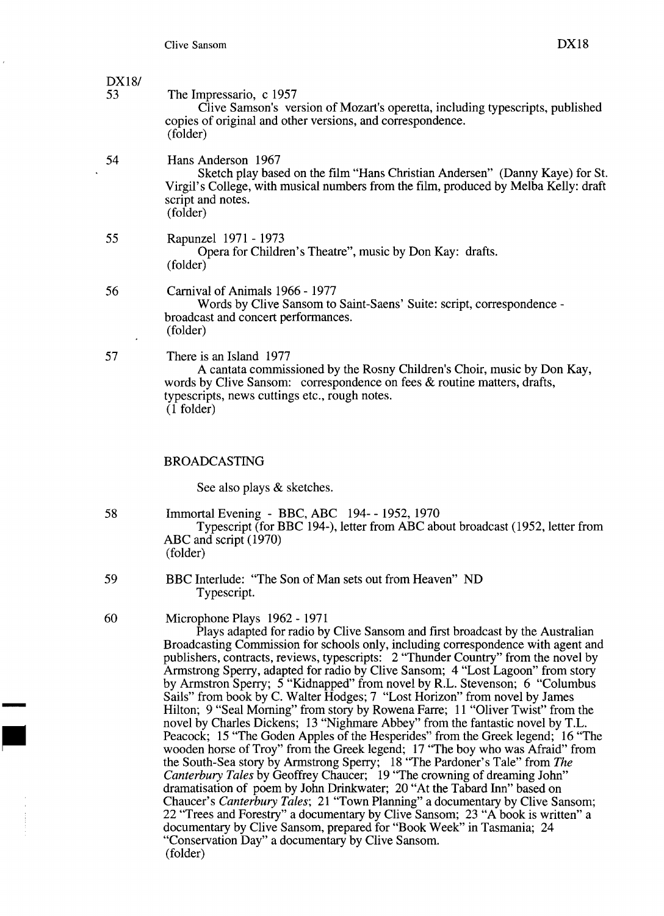*DX181* 

| DA <sub>18</sub><br>53 | The Impressario, c 1957<br>Clive Samson's version of Mozart's operetta, including typescripts, published<br>copies of original and other versions, and correspondence.<br>(folder)                                                              |
|------------------------|-------------------------------------------------------------------------------------------------------------------------------------------------------------------------------------------------------------------------------------------------|
| 54                     | Hans Anderson 1967<br>Sketch play based on the film "Hans Christian Andersen" (Danny Kaye) for St.<br>Virgil's College, with musical numbers from the film, produced by Melba Kelly: draft<br>script and notes.<br>(folder)                     |
| 55                     | Rapunzel 1971 - 1973<br>Opera for Children's Theatre", music by Don Kay: drafts.<br>(folder)                                                                                                                                                    |
| 56<br>$\bullet$        | Carnival of Animals 1966 - 1977<br>Words by Clive Sansom to Saint-Saens' Suite: script, correspondence -<br>broadcast and concert performances.<br>(folder)                                                                                     |
| 57                     | There is an Island 1977<br>A cantata commissioned by the Rosny Children's Choir, music by Don Kay,<br>words by Clive Sansom: correspondence on fees & routine matters, drafts,<br>typescripts, news cuttings etc., rough notes.<br>$(1$ folder) |

#### BROADCASTING

See also plays & sketches.

58 Immortal Evening - BBC, ABC 194- - 1952, 1970 Typescript (for BBC 194-), letter from ABC about broadcast (1952, letter from ABC and script (1970) (folder)

- 59 BBC Interlude: "The Son of Man sets out from Heaven" ND Typescript.
- 60 Microphone Plays 1962 1971

Plays adapted for radio by Clive Sansom and first broadcast by the Australian Broadcasting Commission for schools only, including correspondence with agent and publishers, contracts, reviews, typescripts: 2 "Thunder Country" from the novel by Armstrong Sperry, adapted for radio by Clive Sansom; 4 "Lost Lagoon" from story by Armstron Sperry; 5 "Kidnapped" from novel by R.L. Stevenson; 6 "Columbus Sails" from book by C. Walter Hodges; 7 "Lost Horizon" from novel by James Hilton; 9 "Seal Morning" from story by Rowena Farre; 11 "Oliver Twist" from the novel by Charles Dickens; 13 "Nighmare Abbey" from the fantastic novel by T.L. Peacock; 15 "The Goden Apples of the Hesperides" from the Greek legend; 16 "The wooden horse of Troy" from the Greek legend; 17 "The boy who was Afraid" from Hilton; 9 "Seal Morning" from story by Rowena Farre; 11 "Oliver Twist" from the novel by Charles Dickens; 13 "Nighmare Abbey" from the fantastic novel by T.L. Peacock; 15 "The Goden Apples of the Hesperides" from the Greek *Canterbury Tales* by Geoffrey Chaucer; 19 "The crowning of dreaming John" dramatisation of poem by John Drinkwater; 20 "At the Tabard Inn" based on Chaucer's *Canterbury Tales;* 21 "Town Planning" a documentary by Clive Sansom; 22 "Trees and Forestry" a documentary by Clive Sansom; 23 "A book is written" a documentary by Clive Sansom, prepared for "Book Week" in Tasmania; 24 "Conservation Day" a documentary by Clive Sansom. (folder)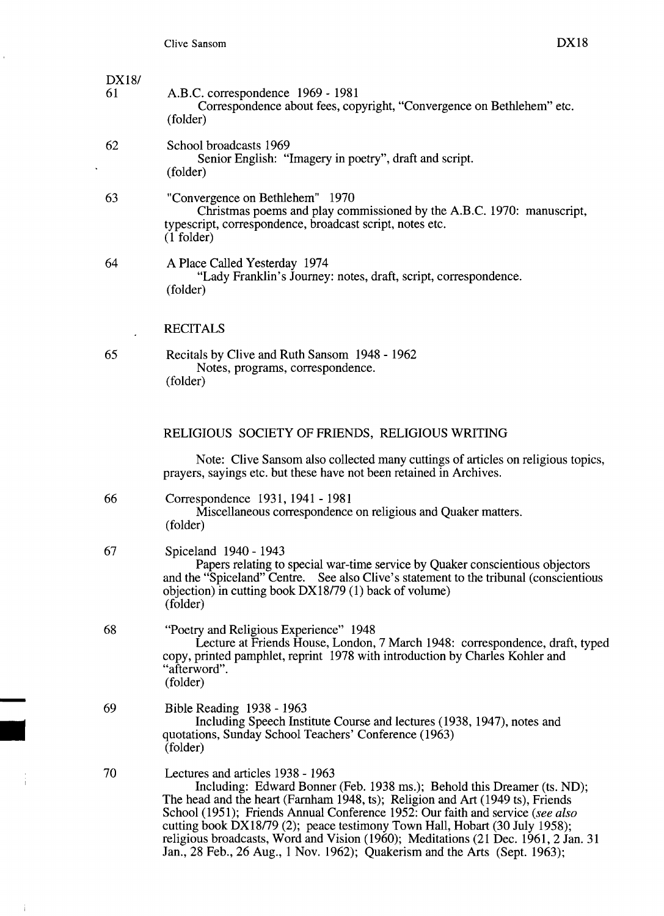| DX18/<br>61 | A.B.C. correspondence 1969 - 1981<br>Correspondence about fees, copyright, "Convergence on Bethlehem" etc.<br>(folder)                                                                                                                                                                                                                                                                                                                                                                                                              |
|-------------|-------------------------------------------------------------------------------------------------------------------------------------------------------------------------------------------------------------------------------------------------------------------------------------------------------------------------------------------------------------------------------------------------------------------------------------------------------------------------------------------------------------------------------------|
| 62          | School broadcasts 1969<br>Senior English: "Imagery in poetry", draft and script.<br>(folder)                                                                                                                                                                                                                                                                                                                                                                                                                                        |
| 63          | "Convergence on Bethlehem" 1970<br>Christmas poems and play commissioned by the A.B.C. 1970: manuscript,<br>typescript, correspondence, broadcast script, notes etc.<br>$(1$ folder)                                                                                                                                                                                                                                                                                                                                                |
| 64          | A Place Called Yesterday 1974<br>"Lady Franklin's Journey: notes, draft, script, correspondence.<br>(folder)                                                                                                                                                                                                                                                                                                                                                                                                                        |
|             | <b>RECITALS</b>                                                                                                                                                                                                                                                                                                                                                                                                                                                                                                                     |
| 65          | Recitals by Clive and Ruth Sansom 1948 - 1962<br>Notes, programs, correspondence.<br>(folder)                                                                                                                                                                                                                                                                                                                                                                                                                                       |
|             | RELIGIOUS SOCIETY OF FRIENDS, RELIGIOUS WRITING                                                                                                                                                                                                                                                                                                                                                                                                                                                                                     |
|             | Note: Clive Sansom also collected many cuttings of articles on religious topics,<br>prayers, sayings etc. but these have not been retained in Archives.                                                                                                                                                                                                                                                                                                                                                                             |
| 66          | Correspondence 1931, 1941 - 1981<br>Miscellaneous correspondence on religious and Quaker matters.<br>(folder)                                                                                                                                                                                                                                                                                                                                                                                                                       |
| 67          | Spiceland 1940 - 1943<br>Papers relating to special war-time service by Quaker conscientious objectors<br>and the "Spiceland" Centre. See also Clive's statement to the tribunal (conscientious<br>objection) in cutting book DX18/79 (1) back of volume)<br>(folder)                                                                                                                                                                                                                                                               |
| 68          | "Poetry and Religious Experience" 1948<br>Lecture at Friends House, London, 7 March 1948: correspondence, draft, typed<br>copy, printed pamphlet, reprint 1978 with introduction by Charles Kohler and<br>"afterword".<br>(folder)                                                                                                                                                                                                                                                                                                  |
| 69          | Bible Reading 1938 - 1963<br>Including Speech Institute Course and lectures (1938, 1947), notes and<br>quotations, Sunday School Teachers' Conference (1963)<br>(folder)                                                                                                                                                                                                                                                                                                                                                            |
| 70          | Lectures and articles 1938 - 1963<br>Including: Edward Bonner (Feb. 1938 ms.); Behold this Dreamer (ts. ND);<br>The head and the heart (Farnham 1948, ts); Religion and Art (1949 ts), Friends<br>School (1951); Friends Annual Conference 1952: Our faith and service (see also<br>cutting book DX18/79 (2); peace testimony Town Hall, Hobart (30 July 1958);<br>religious broadcasts, Word and Vision (1960); Meditations (21 Dec. 1961, 2 Jan. 31<br>Jan., 28 Feb., 26 Aug., 1 Nov. 1962); Quakerism and the Arts (Sept. 1963); |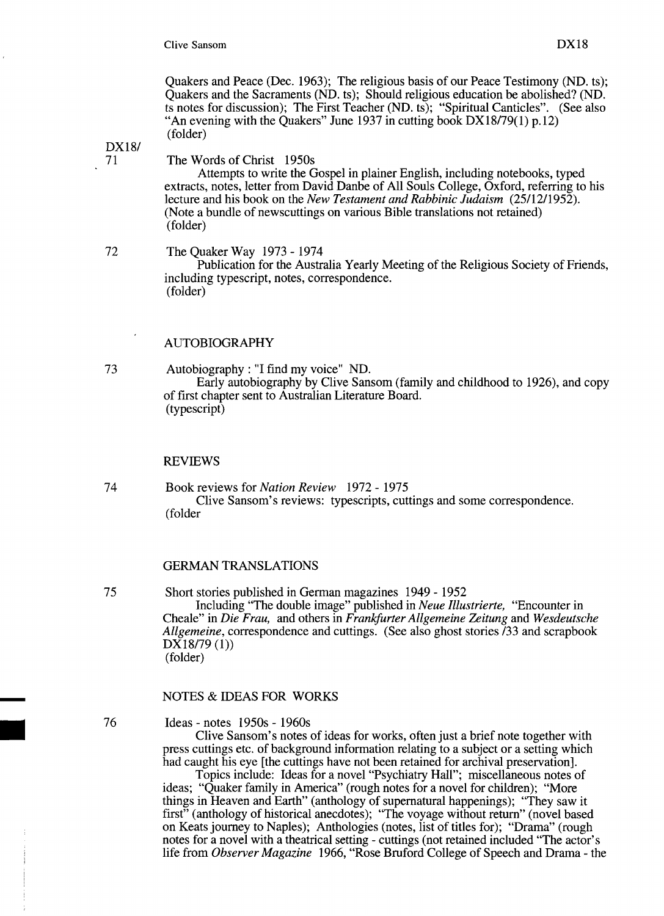Quakers and Peace (Dec. 1963); The religious basis of our Peace Testimony (ND. ts); Quakers and the Sacraments (ND. ts); Should religious education be abolished? (ND. ts notes for discussion); The First Teacher (ND. ts); "Spiritual Canticles". (See also "An evening with the Quakers" June 1937 in cutting book  $DX18/79(1)$  p.12) (folder)

# *DX181*

#### The Words of Christ 1950s

Attempts to write the Gospel in plainer English, including notebooks, typed extracts, notes, letter from David Danbe of All Souls College, Oxford, referring to his lecture and his book on the *New Testament and Rabbinic Judaism (25/12/1952).*  (Note a bundle of newscuttings on various Bible translations not retained) (folder)

#### 72 The Quaker Way 1973 - 1974

Publication for the Australia Yearly Meeting of the Religious Society of Friends, including typescript, notes, correspondence. (folder)

### AUTOBIOGRAPHY

73 Autobiography: "I find my voice" ND. Early autobiography by Clive Sansom (family and childhood to 1926), and copy of first chapter sent to Australian Literature Board. (typescript)

#### REVIEWS

74 Book reviews for *Nation Review* 1972 - 1975 Clive Sansom's reviews: typescripts, cuttings and some correspondence. (folder

## GERMAN TRANSLATIONS

75 Short stories published in German magazines 1949 - 1952

Including "The double image" published in *Neue Illustrierte,* "Encounter in Cheale" in *Die Frau,* and others in *Franlifurter Allgemeine Zeitung* and *Wesdeutsche Allgemeine,* correspondence and cuttings. (See also ghost stories *133* and scrapbook  $DX18/79(1)$ (folder)

#### NOTES & IDEAS FOR WORKS

#### Ideas - notes 1950s - 1960s

Clive Sansom's notes of ideas for works, often just a brief note together with press cuttings etc. of background information relating to a subject or a setting which had caught his eye [the cuttings have not been retained for archival preservation].

Topics include: Ideas for a novel "Psychiatry Hall"; miscellaneous notes of ideas; "Quaker family in America" (rough notes for a novel for children); "More things in Heaven and Earth" (anthology of supernatural happenings); "They saw it first" (anthology of historical anecdotes); "The voyage without return" (novel based on Keats journey to Naples); Anthologies (notes, list of titles for); "Drama" (rough notes for a novel with a theatrical setting - cuttings (not retained included "The actor's life from *Observer Magazine* 1966, "Rose Bruford College of Speech and Drama - the

76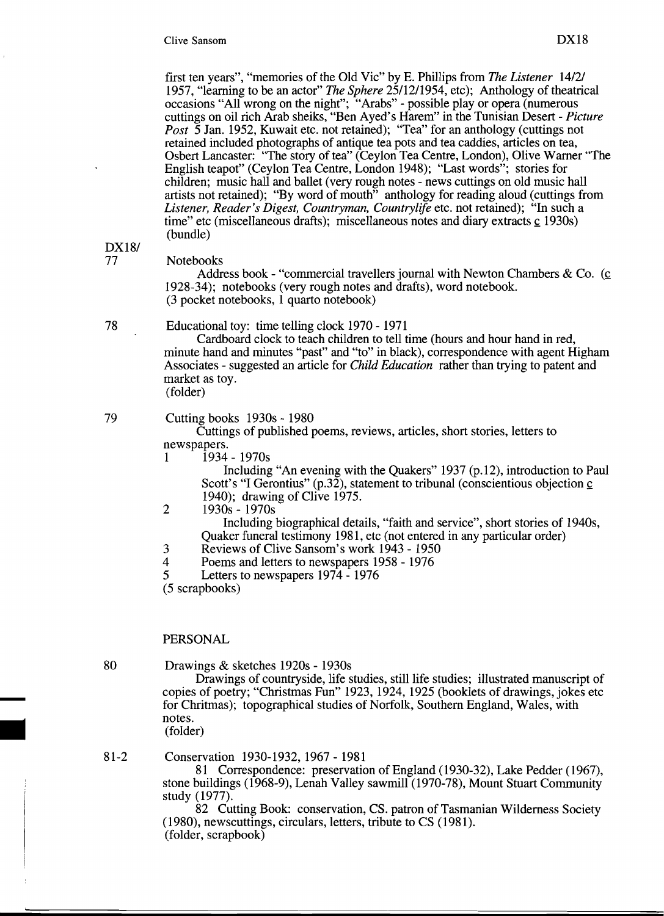first ten years", "memories of the Old Vic" by E. Phillips from *The Listener 14/21*  1957, "learning to be an actor" *The Sphere* 25/12/1954, etc); Anthology of theatrical occasions "All wrong on the night"; "Arabs" - possible play or opera (numerous cuttings on oil rich Arab sheiks, "Ben Ayed's Harem" in the Tunisian Desert - *Picture Post* 5 Jan. 1952, Kuwait etc. not retained); "Tea" for an anthology (cuttings not retained included photographs of antique tea pots and tea caddies, articles on tea, Osbert Lancaster: "The story of tea" (Ceylon Tea Centre, London), Olive Warner "The English teapot" (Ceylon Tea Centre, London 1948); "Last words"; stories for children; music hall and ballet (very rough notes - news cuttings on old music hall artists not retained); "By word of mouth" anthology for reading aloud (cuttings from *Listener, Reader's Digest, Countryman, Countrylife* etc. not retained); "In such a time" etc (miscellaneous drafts); miscellaneous notes and diary extracts c 1930s) (bundle)

*DX181* 

#### Notebooks

Address book - "commercial travellers journal with Newton Chambers  $\& Co.$  (c) 1928-34); notebooks (very rough notes and drafts), word notebook. (3 pocket notebooks, 1 quarto notebook)

## 78 Educational toy: time telling clock 1970 - 1971

Cardboard clock to teach children to tell time (hours and hour hand in red, minute hand and minutes "past" and "to" in black), correspondence with agent Higham Associates - suggested an article for *Child Education* rather than trying to patent and market as toy. (folder)

# 79 Cutting books 1930s - 1980

Cuttings of published poems, reviews, articles, short stories, letters to newspapers.

 $1 \overline{1934 - 1970s}$ 

Including "An evening with the Quakers" 1937 (p.12), introduction to Paul Scott's "I Gerontius" (p.32), statement to tribunal (conscientious objection  $\underline{c}$ 1940); drawing of Clive 1975.

2 1930s - 1970s

Including biographical details, "faith and service", short stories of 1940s, Quaker funeral testimony 1981, etc (not entered in any particular order)

- 3 Reviews of Clive Sansom's work 1943 1950
- 4 Poems and letters to newspapers 1958 1976
- 5 Letters to newspapers 1974 1976
- (5 scrapbooks)

#### PERSONAL

80 Drawings & sketches 1920s - 1930s

Drawings of countryside, life studies, still life studies; illustrated manuscript of Drawings of countryside, life studies, still life studies; inustrated manuscript of<br>copies of poetry; "Christmas Fun" 1923, 1924, 1925 (booklets of drawings, jokes etc<br>for Chritmas); topographical studies of Norfolk, South notes. for Chri<br>for Chri<br>notes.<br>(folder)<br>8<br>Ronser for Chritmas); topographical studies of Norfolk, Southern England, Wales, with notes.<br>
(folder)<br>
81-2 Conservation 1930-1932, 1967 - 1981

81 Correspondence: preservation of England (1930-32), Lake Pedder (1967), stone buildings (1968-9), Lenah Valley sawmill (1970-78), Mount Stuart Community study (1977).

82 Cutting Book: conservation, CS. patron of Tasmanian Wilderness Society (1980), newscuttings, circulars, letters, tribute to CS (1981). (folder, scrapbook)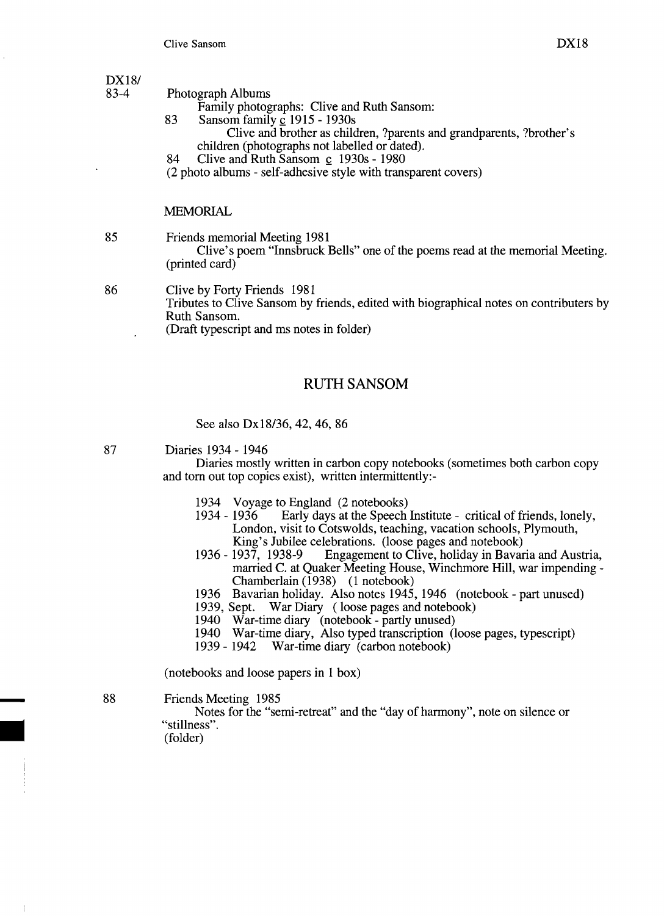- Photograph Albums
	- Family photographs: Clive and Ruth Sansom:
- 83 Sansom family c 1915 1930s Clive and brother as children, ?parents and grandparents, ?brother's
	- children (photographs not labelled or dated).
- 84 Clive and Ruth Sansom  $\,c$  1930s 1980
- (2 photo albums self-adhesive style with transparent covers)

#### MEMORIAL

85 Friends memorial Meeting 1981

Clive's poem "Innsbruck Bells" one of the poems read at the memorial Meeting. (printed card)

- 86 Clive by Forty Friends 1981 Tributes to Clive Sansom by friends, edited with biographical notes on contributers by Ruth Sansom. (Draft typescript and ms notes in folder)
	-

# RUTH SANSOM

See also Dx18/36, 42, 46, 86

#### 87 Diaries 1934 - 1946

Diaries mostly written in carbon copy notebooks (sometimes both carbon copy and tom out top copies exist), written intermittently:

- 1934 Voyage to England (2 notebooks)<br>1934 1936 Early days at the Speech
- Early days at the Speech Institute critical of friends, lonely, London, visit to Cotswolds, teaching, vacation schools, Plymouth, King's Jubilee celebrations. (loose pages and notebook)<br>1936 - 1937, 1938-9 Engagement to Clive, holiday in Bavar
- Engagement to Clive, holiday in Bavaria and Austria, married C. at Quaker Meeting House, Winchmore Hill, war impending Chamberlain (1938) (1 notebook)
- 1936 Bavarian holiday. Also notes 1945, 1946 (notebook part unused)<br>1939, Sept. War Diary (loose pages and notebook)
- War Diary (loose pages and notebook)
- 1940 War-time diary (notebook partly unused)
- 1940 War-time diary, Also typed transcription (loose pages, typescript)
- 1939 1942 War-time diary (carbon notebook)

(notebooks and loose papers in 1 box)

88 Friends Meeting 1985

Notes for the "semi-retreat" and the "day of harmony", note on silence or "stillness".

(folder)